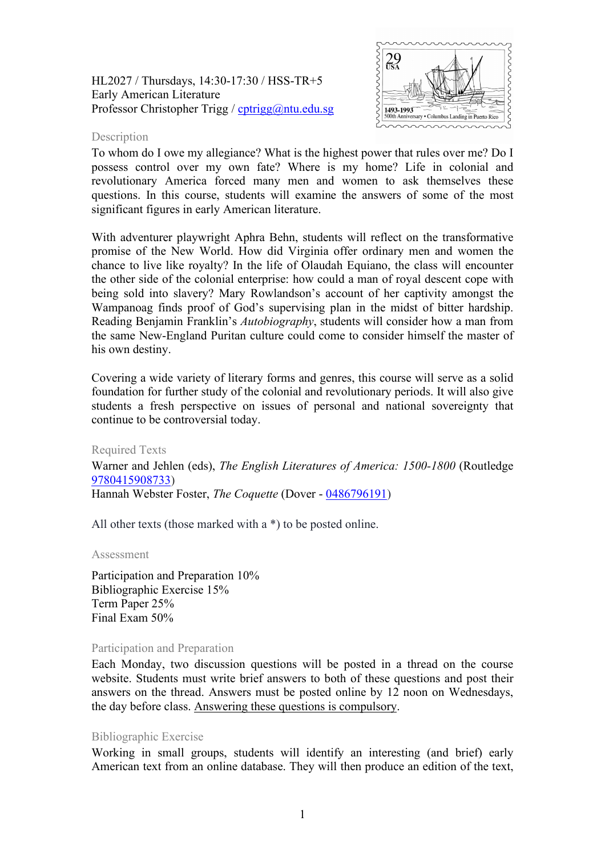HL2027 / Thursdays, 14:30-17:30 / HSS-TR+5 Early American Literature Professor Christopher Trigg / [cptrigg@ntu.edu.sg](mailto:cptrigg@ntu.edu.sg)



# **Description**

To whom do I owe my allegiance? What is the highest power that rules over me? Do I possess control over my own fate? Where is my home? Life in colonial and revolutionary America forced many men and women to ask themselves these questions. In this course, students will examine the answers of some of the most significant figures in early American literature.

With adventurer playwright Aphra Behn, students will reflect on the transformative promise of the New World. How did Virginia offer ordinary men and women the chance to live like royalty? In the life of Olaudah Equiano, the class will encounter the other side of the colonial enterprise: how could a man of royal descent cope with being sold into slavery? Mary Rowlandson's account of her captivity amongst the Wampanoag finds proof of God's supervising plan in the midst of bitter hardship. Reading Benjamin Franklin's *Autobiography*, students will consider how a man from the same New-England Puritan culture could come to consider himself the master of his own destiny.

Covering a wide variety of literary forms and genres, this course will serve as a solid foundation for further study of the colonial and revolutionary periods. It will also give students a fresh perspective on issues of personal and national sovereignty that continue to be controversial today.

Required Texts

Warner and Jehlen (eds), *The English Literatures of America: 1500-1800* (Routledge 9780415908733)

Hannah Webster Foster, *The Coquette* (Dover - [0486796191\)](http://opentrolley.com.sg/BookDetails.aspx?BookID=13830159)

All other texts (those marked with a \*) to be posted online.

## Assessment

Participation and Preparation 10% Bibliographic Exercise 15% Term Paper 25% Final Exam 50%

## Participation and Preparation

Each Monday, two discussion questions will be posted in a thread on the course website. Students must write brief answers to both of these questions and post their answers on the thread. Answers must be posted online by 12 noon on Wednesdays, the day before class. Answering these questions is compulsory.

# Bibliographic Exercise

Working in small groups, students will identify an interesting (and brief) early American text from an online database. They will then produce an edition of the text,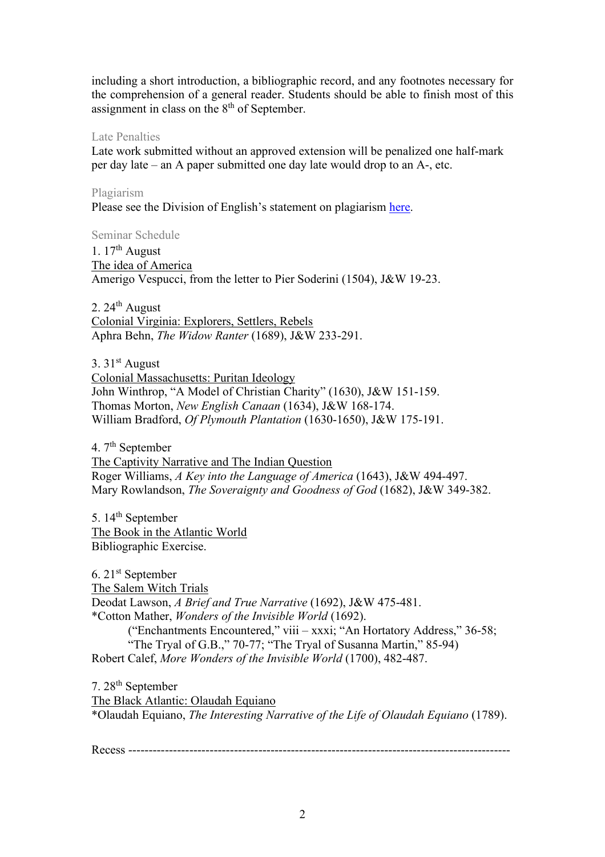including a short introduction, a bibliographic record, and any footnotes necessary for the comprehension of a general reader. Students should be able to finish most of this assignment in class on the 8<sup>th</sup> of September.

# Late Penalties

Late work submitted without an approved extension will be penalized one half-mark per day late – an A paper submitted one day late would drop to an A-, etc.

# Plagiarism

Please see the Division of English's statement on plagiarism [here.](http://n4ap0112:6150/Programmes/Undergraduate/current/Pages/forms.aspx)

Seminar Schedule

1.  $17<sup>th</sup>$  August The idea of America Amerigo Vespucci, from the letter to Pier Soderini (1504), J&W 19-23.

2.  $24<sup>th</sup>$  August Colonial Virginia: Explorers, Settlers, Rebels Aphra Behn, *The Widow Ranter* (1689), J&W 233-291.

3.  $31<sup>st</sup>$  August Colonial Massachusetts: Puritan Ideology John Winthrop, "A Model of Christian Charity" (1630), J&W 151-159. Thomas Morton, *New English Canaan* (1634), J&W 168-174. William Bradford, *Of Plymouth Plantation* (1630-1650), J&W 175-191.

4. 7<sup>th</sup> September The Captivity Narrative and The Indian Question Roger Williams, *A Key into the Language of America* (1643), J&W 494-497. Mary Rowlandson, *The Soveraignty and Goodness of God* (1682), J&W 349-382.

5. 14<sup>th</sup> September The Book in the Atlantic World Bibliographic Exercise.

6. 21st September The Salem Witch Trials Deodat Lawson, *A Brief and True Narrative* (1692), J&W 475-481. \*Cotton Mather, *Wonders of the Invisible World* (1692). ("Enchantments Encountered," viii – xxxi; "An Hortatory Address," 36-58; "The Tryal of G.B.," 70-77; "The Tryal of Susanna Martin," 85-94) Robert Calef, *More Wonders of the Invisible World* (1700), 482-487.

7. 28th September The Black Atlantic: Olaudah Equiano \*Olaudah Equiano, *The Interesting Narrative of the Life of Olaudah Equiano* (1789).

Recess ----------------------------------------------------------------------------------------------